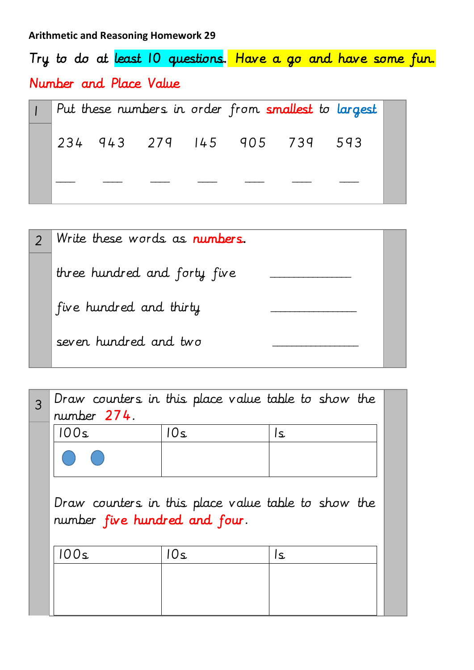Try to do at least 10 questions. Have a go and have some fun. Number and Place Value

|  |  |                             | Put these numbers in order from smallest to largest |
|--|--|-----------------------------|-----------------------------------------------------|
|  |  | 234 943 279 145 905 739 593 |                                                     |
|  |  |                             |                                                     |

| Write these words as numbers. |  |
|-------------------------------|--|
| three hundred and forty five  |  |
| five hundred and thirty       |  |
| seven hundred and two         |  |

| number 274.                   |     | Draw counters in this place value table to show the |  |
|-------------------------------|-----|-----------------------------------------------------|--|
| 100s                          | 10s | ls.                                                 |  |
|                               |     |                                                     |  |
| number five hundred and four. |     | Draw counters in this place value table to show the |  |
| 100s                          | 10s | ۱s                                                  |  |
|                               |     |                                                     |  |
|                               |     |                                                     |  |
|                               |     |                                                     |  |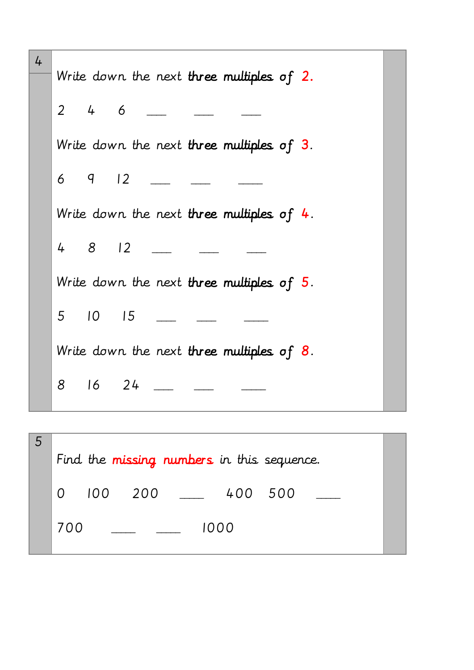| 4 | Write down the next three multiples of 2.    |
|---|----------------------------------------------|
|   | $4\overline{6}$<br>$\overline{2}$            |
|   | Write down the next three multiples of 3.    |
|   | 6q12                                         |
|   | Write down the next three multiples of $4$ . |
|   | 4812                                         |
|   | Write down the next three multiples of $5$ . |
|   | 5 10 15                                      |
|   | Write down the next three multiples of $8$ . |
|   | $16$ 24<br>8                                 |
|   |                                              |

|          |     |     | Find the missing numbers in this sequence. |      |     |  |
|----------|-----|-----|--------------------------------------------|------|-----|--|
| $\Omega$ | 100 | 200 |                                            | 400  | 500 |  |
| 700      |     |     |                                            | 1000 |     |  |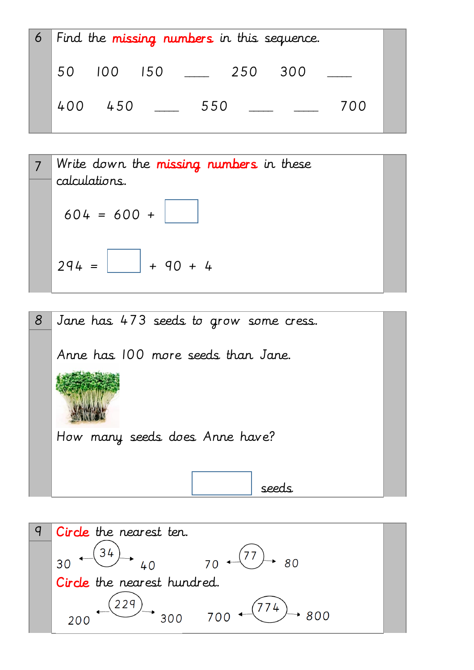|     |         |                |                                                                                                                                                                                                                                      |     | 6   Find the missing numbers in this sequence. |     |  |
|-----|---------|----------------|--------------------------------------------------------------------------------------------------------------------------------------------------------------------------------------------------------------------------------------|-----|------------------------------------------------|-----|--|
| 50  | 100 150 |                | <u>and a strong start of the strong start of the strong start of the strong start of the strong start of the strong start of the strong start of the strong start of the strong start of the strong start of the strong start of</u> | 250 | 300                                            |     |  |
| 400 | 450     | $\mathbb{R}^n$ | 550                                                                                                                                                                                                                                  |     |                                                | 700 |  |

7 Write down the missing numbers in these calculations.  
\n
$$
604 = 600 +
$$
  
\n $294 =$  40 + 4



9 Circle the nearest ten.  $\frac{34}{1}$  $70 \leftarrow (77)$  $40$ 80 30 Circle the nearest hundred.  $(229)$  $774$ 300 700 800 200  $\overline{a}$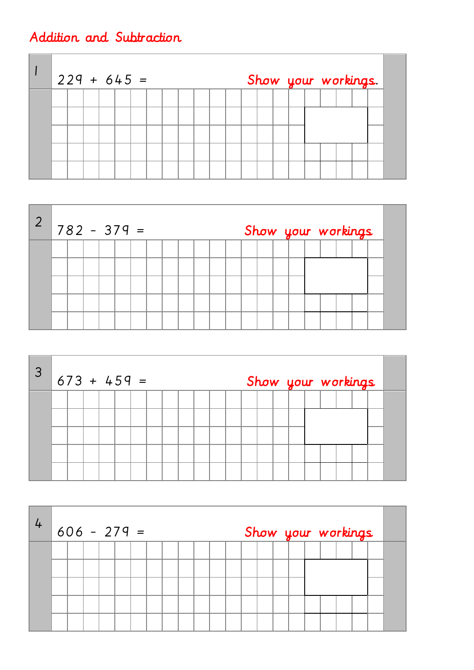## Addition and Subtraction

|  |  | $229 + 645 =$ |  |  |  |  |  | Show your workings. |  |  |  |
|--|--|---------------|--|--|--|--|--|---------------------|--|--|--|
|  |  |               |  |  |  |  |  |                     |  |  |  |
|  |  |               |  |  |  |  |  |                     |  |  |  |
|  |  |               |  |  |  |  |  |                     |  |  |  |
|  |  |               |  |  |  |  |  |                     |  |  |  |

| $\overline{2}$ |  |  | $1782 - 379 =$ |  |  |  |  |  | Show your workings |  |  |  |
|----------------|--|--|----------------|--|--|--|--|--|--------------------|--|--|--|
|                |  |  |                |  |  |  |  |  |                    |  |  |  |
|                |  |  |                |  |  |  |  |  |                    |  |  |  |
|                |  |  |                |  |  |  |  |  |                    |  |  |  |

| $\overline{3}$ |  |  | $673 + 459 =$ |  |  |  |  |  | Show your workings |  |  |  |
|----------------|--|--|---------------|--|--|--|--|--|--------------------|--|--|--|
|                |  |  |               |  |  |  |  |  |                    |  |  |  |
|                |  |  |               |  |  |  |  |  |                    |  |  |  |
|                |  |  |               |  |  |  |  |  |                    |  |  |  |
|                |  |  |               |  |  |  |  |  |                    |  |  |  |

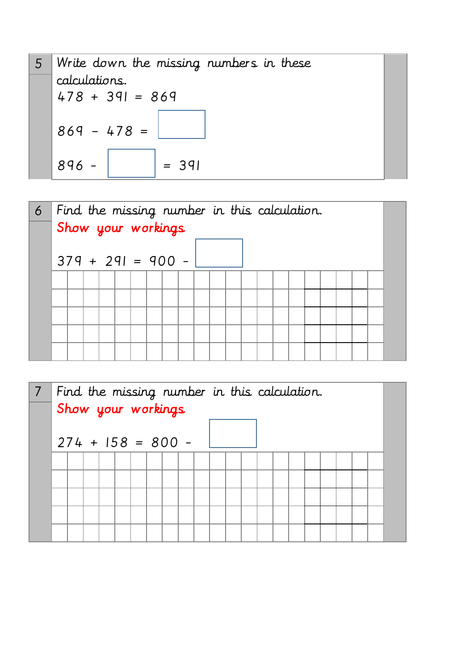



|  |  | Find the missing number in this calculation.<br>Show your workings |  |  |  |  |  |  |  |  |  |
|--|--|--------------------------------------------------------------------|--|--|--|--|--|--|--|--|--|
|  |  | $274 + 158 = 800 -$                                                |  |  |  |  |  |  |  |  |  |
|  |  |                                                                    |  |  |  |  |  |  |  |  |  |
|  |  |                                                                    |  |  |  |  |  |  |  |  |  |
|  |  |                                                                    |  |  |  |  |  |  |  |  |  |
|  |  |                                                                    |  |  |  |  |  |  |  |  |  |
|  |  |                                                                    |  |  |  |  |  |  |  |  |  |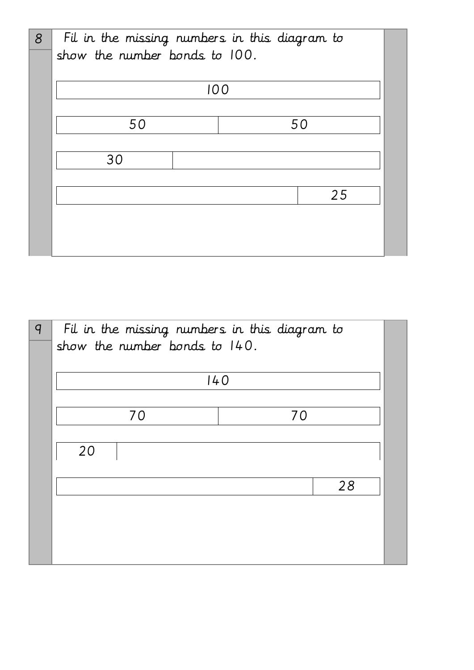| 8 | Fil in the missing numbers in this diagram to |     |
|---|-----------------------------------------------|-----|
|   | show the number bonds to 100.                 |     |
|   |                                               |     |
|   |                                               | 100 |
|   |                                               |     |
|   | 50                                            | 50  |
|   |                                               |     |
|   | 30                                            |     |
|   |                                               |     |
|   |                                               | 25  |
|   |                                               |     |
|   |                                               |     |
|   |                                               |     |

| $\overline{q}$ | Fil in the missing numbers in this diagram to<br>show the number bonds to 140. |     |    |
|----------------|--------------------------------------------------------------------------------|-----|----|
|                |                                                                                | 140 |    |
|                | 70                                                                             | 70  |    |
|                | 20                                                                             |     |    |
|                |                                                                                |     | 28 |
|                |                                                                                |     |    |
|                |                                                                                |     |    |